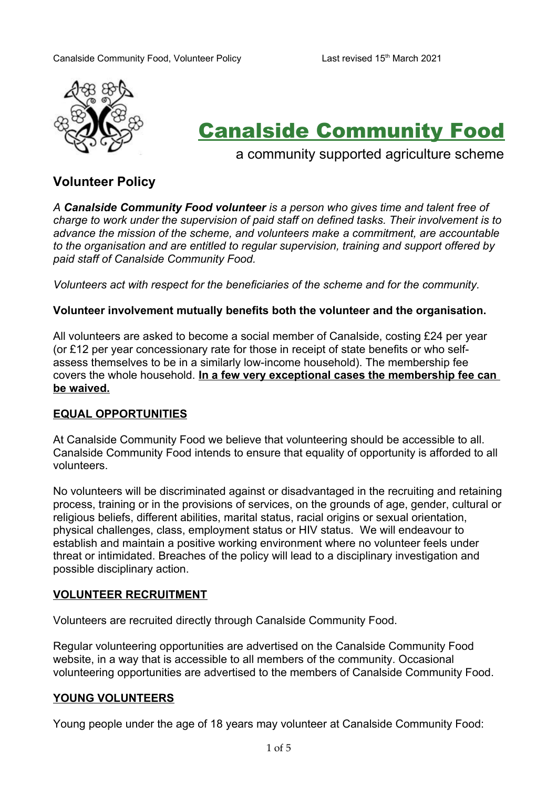

# Canalside Community Food

a community supported agriculture scheme

# **Volunteer Policy**

*A Canalside Community Food volunteer is a person who gives time and talent free of charge to work under the supervision of paid staff on defined tasks. Their involvement is to advance the mission of the scheme, and volunteers make a commitment, are accountable to the organisation and are entitled to regular supervision, training and support offered by paid staff of Canalside Community Food.*

*Volunteers act with respect for the beneficiaries of the scheme and for the community.*

#### **Volunteer involvement mutually benefits both the volunteer and the organisation.**

All volunteers are asked to become a social member of Canalside, costing £24 per year (or £12 per year concessionary rate for those in receipt of state benefits or who selfassess themselves to be in a similarly low-income household). The membership fee covers the whole household. **In a few very exceptional cases the membership fee can be waived.**

#### **EQUAL OPPORTUNITIES**

At Canalside Community Food we believe that volunteering should be accessible to all. Canalside Community Food intends to ensure that equality of opportunity is afforded to all volunteers.

No volunteers will be discriminated against or disadvantaged in the recruiting and retaining process, training or in the provisions of services, on the grounds of age, gender, cultural or religious beliefs, different abilities, marital status, racial origins or sexual orientation, physical challenges, class, employment status or HIV status. We will endeavour to establish and maintain a positive working environment where no volunteer feels under threat or intimidated. Breaches of the policy will lead to a disciplinary investigation and possible disciplinary action.

#### **VOLUNTEER RECRUITMENT**

Volunteers are recruited directly through Canalside Community Food.

Regular volunteering opportunities are advertised on the Canalside Community Food website, in a way that is accessible to all members of the community. Occasional volunteering opportunities are advertised to the members of Canalside Community Food.

#### **YOUNG VOLUNTEERS**

Young people under the age of 18 years may volunteer at Canalside Community Food: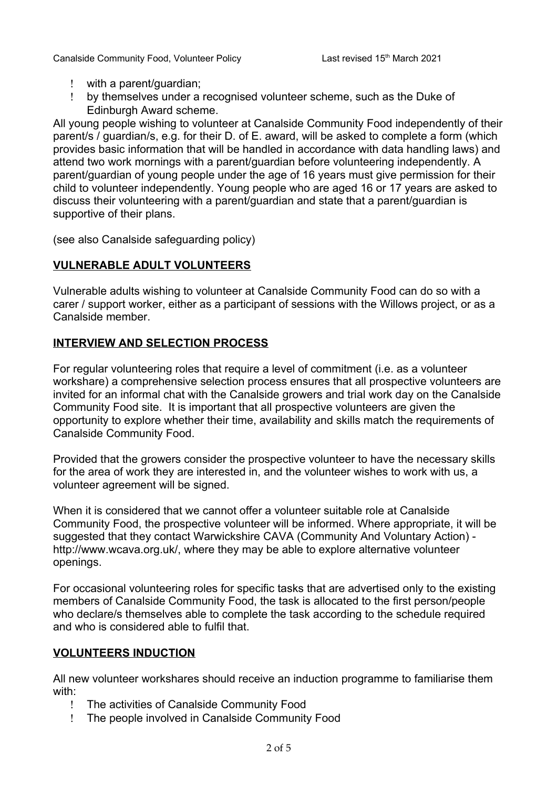- with a parent/guardian;
- by themselves under a recognised volunteer scheme, such as the Duke of Edinburgh Award scheme.

All young people wishing to volunteer at Canalside Community Food independently of their parent/s / guardian/s, e.g. for their D. of E. award, will be asked to complete a form (which provides basic information that will be handled in accordance with data handling laws) and attend two work mornings with a parent/guardian before volunteering independently. A parent/guardian of young people under the age of 16 years must give permission for their child to volunteer independently. Young people who are aged 16 or 17 years are asked to discuss their volunteering with a parent/guardian and state that a parent/guardian is supportive of their plans.

(see also Canalside safeguarding policy)

# **VULNERABLE ADULT VOLUNTEERS**

Vulnerable adults wishing to volunteer at Canalside Community Food can do so with a carer / support worker, either as a participant of sessions with the Willows project, or as a Canalside member.

## **INTERVIEW AND SELECTION PROCESS**

For regular volunteering roles that require a level of commitment (i.e. as a volunteer workshare) a comprehensive selection process ensures that all prospective volunteers are invited for an informal chat with the Canalside growers and trial work day on the Canalside Community Food site. It is important that all prospective volunteers are given the opportunity to explore whether their time, availability and skills match the requirements of Canalside Community Food.

Provided that the growers consider the prospective volunteer to have the necessary skills for the area of work they are interested in, and the volunteer wishes to work with us, a volunteer agreement will be signed.

When it is considered that we cannot offer a volunteer suitable role at Canalside Community Food, the prospective volunteer will be informed. Where appropriate, it will be suggested that they contact Warwickshire CAVA (Community And Voluntary Action) http://www.wcava.org.uk/, where they may be able to explore alternative volunteer openings.

For occasional volunteering roles for specific tasks that are advertised only to the existing members of Canalside Community Food, the task is allocated to the first person/people who declare/s themselves able to complete the task according to the schedule required and who is considered able to fulfil that.

#### **VOLUNTEERS INDUCTION**

All new volunteer workshares should receive an induction programme to familiarise them with:

- The activities of Canalside Community Food
- The people involved in Canalside Community Food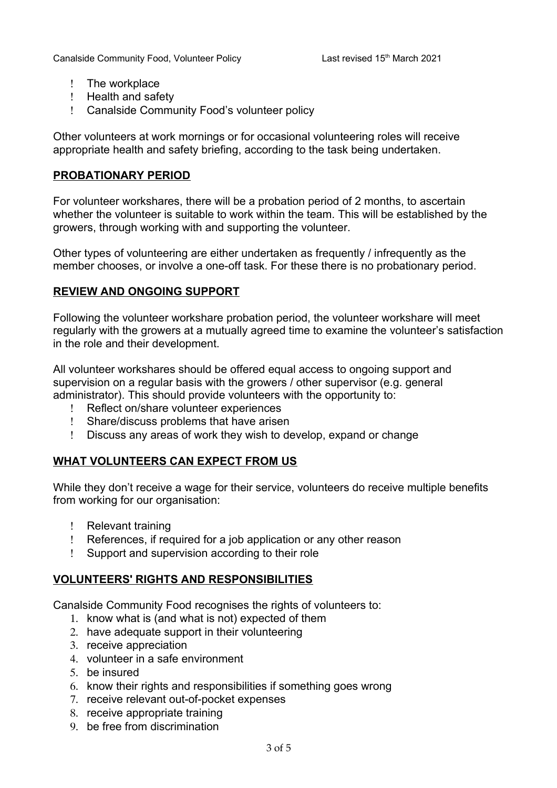- ! The workplace
- ! Health and safety
- Canalside Community Food's volunteer policy

Other volunteers at work mornings or for occasional volunteering roles will receive appropriate health and safety briefing, according to the task being undertaken.

#### **PROBATIONARY PERIOD**

For volunteer workshares, there will be a probation period of 2 months, to ascertain whether the volunteer is suitable to work within the team. This will be established by the growers, through working with and supporting the volunteer.

Other types of volunteering are either undertaken as frequently / infrequently as the member chooses, or involve a one-off task. For these there is no probationary period.

#### **REVIEW AND ONGOING SUPPORT**

Following the volunteer workshare probation period, the volunteer workshare will meet regularly with the growers at a mutually agreed time to examine the volunteer's satisfaction in the role and their development.

All volunteer workshares should be offered equal access to ongoing support and supervision on a regular basis with the growers / other supervisor (e.g. general administrator). This should provide volunteers with the opportunity to:

- Reflect on/share volunteer experiences
- Share/discuss problems that have arisen
- Discuss any areas of work they wish to develop, expand or change

#### **WHAT VOLUNTEERS CAN EXPECT FROM US**

While they don't receive a wage for their service, volunteers do receive multiple benefits from working for our organisation:

- ! Relevant training
- References, if required for a job application or any other reason
- Support and supervision according to their role

#### **VOLUNTEERS' RIGHTS AND RESPONSIBILITIES**

Canalside Community Food recognises the rights of volunteers to:

- 1. know what is (and what is not) expected of them
- 2. have adequate support in their volunteering
- 3. receive appreciation
- 4. volunteer in a safe environment
- 5. be insured
- 6. know their rights and responsibilities if something goes wrong
- 7. receive relevant out-of-pocket expenses
- 8. receive appropriate training
- 9. be free from discrimination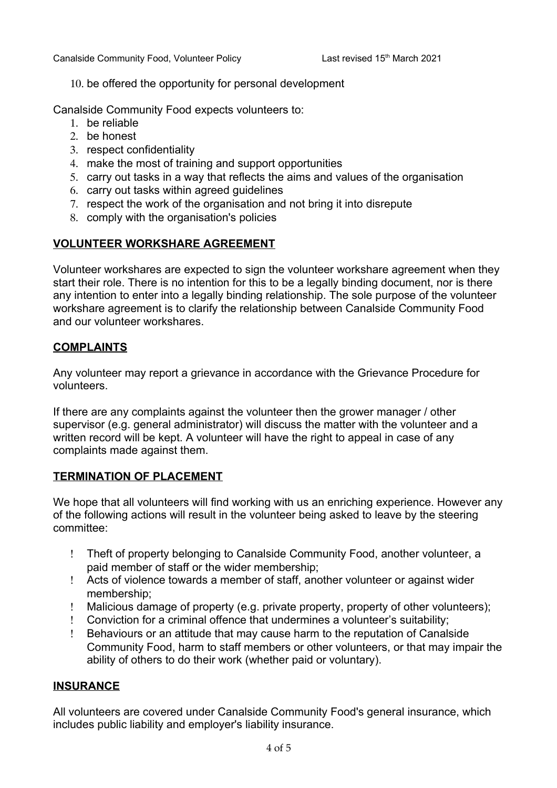10. be offered the opportunity for personal development

Canalside Community Food expects volunteers to:

- 1. be reliable
- 2. be honest
- 3. respect confidentiality
- 4. make the most of training and support opportunities
- 5. carry out tasks in a way that reflects the aims and values of the organisation
- 6. carry out tasks within agreed guidelines
- 7. respect the work of the organisation and not bring it into disrepute
- 8. comply with the organisation's policies

# **VOLUNTEER WORKSHARE AGREEMENT**

Volunteer workshares are expected to sign the volunteer workshare agreement when they start their role. There is no intention for this to be a legally binding document, nor is there any intention to enter into a legally binding relationship. The sole purpose of the volunteer workshare agreement is to clarify the relationship between Canalside Community Food and our volunteer workshares.

# **COMPLAINTS**

Any volunteer may report a grievance in accordance with the Grievance Procedure for volunteers.

If there are any complaints against the volunteer then the grower manager / other supervisor (e.g. general administrator) will discuss the matter with the volunteer and a written record will be kept. A volunteer will have the right to appeal in case of any complaints made against them.

# **TERMINATION OF PLACEMENT**

We hope that all volunteers will find working with us an enriching experience. However any of the following actions will result in the volunteer being asked to leave by the steering committee:

- Theft of property belonging to Canalside Community Food, another volunteer, a paid member of staff or the wider membership;
- Acts of violence towards a member of staff, another volunteer or against wider membership;
- Malicious damage of property (e.g. private property, property of other volunteers);
- Conviction for a criminal offence that undermines a volunteer's suitability;
- Behaviours or an attitude that may cause harm to the reputation of Canalside Community Food, harm to staff members or other volunteers, or that may impair the ability of others to do their work (whether paid or voluntary).

#### **INSURANCE**

All volunteers are covered under Canalside Community Food's general insurance, which includes public liability and employer's liability insurance.